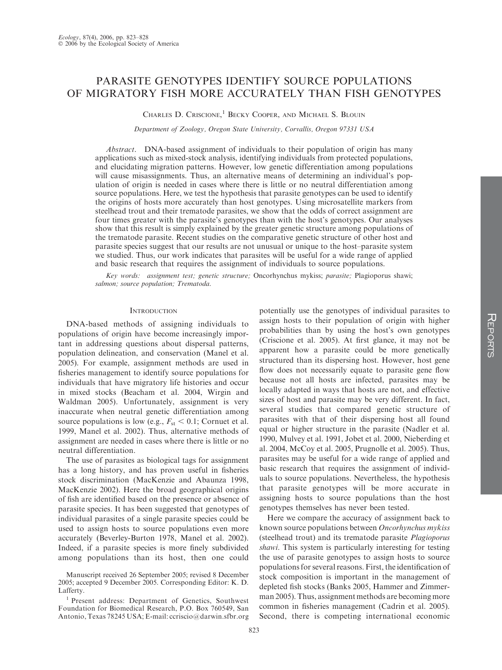# PARASITE GENOTYPES IDENTIFY SOURCE POPULATIONS OF MIGRATORY FISH MORE ACCURATELY THAN FISH GENOTYPES

CHARLES D. CRISCIONE,<sup>1</sup> BECKY COOPER, AND MICHAEL S. BLOUIN

Department of Zoology, Oregon State University, Corvallis, Oregon 97331 USA

Abstract. DNA-based assignment of individuals to their population of origin has many applications such as mixed-stock analysis, identifying individuals from protected populations, and elucidating migration patterns. However, low genetic differentiation among populations will cause misassignments. Thus, an alternative means of determining an individual's population of origin is needed in cases where there is little or no neutral differentiation among source populations. Here, we test the hypothesis that parasite genotypes can be used to identify the origins of hosts more accurately than host genotypes. Using microsatellite markers from steelhead trout and their trematode parasites, we show that the odds of correct assignment are four times greater with the parasite's genotypes than with the host's genotypes. Our analyses show that this result is simply explained by the greater genetic structure among populations of the trematode parasite. Recent studies on the comparative genetic structure of other host and parasite species suggest that our results are not unusual or unique to the host–parasite system we studied. Thus, our work indicates that parasites will be useful for a wide range of applied and basic research that requires the assignment of individuals to source populations.

Key words: assignment test; genetic structure; Oncorhynchus mykiss; parasite; Plagioporus shawi; salmon; source population; Trematoda.

# **INTRODUCTION**

DNA-based methods of assigning individuals to populations of origin have become increasingly important in addressing questions about dispersal patterns, population delineation, and conservation (Manel et al. 2005). For example, assignment methods are used in fisheries management to identify source populations for individuals that have migratory life histories and occur in mixed stocks (Beacham et al. 2004, Wirgin and Waldman 2005). Unfortunately, assignment is very inaccurate when neutral genetic differentiation among source populations is low (e.g.,  $F_{st}$  < 0.1; Cornuet et al. 1999, Manel et al. 2002). Thus, alternative methods of assignment are needed in cases where there is little or no neutral differentiation.

The use of parasites as biological tags for assignment has a long history, and has proven useful in fisheries stock discrimination (MacKenzie and Abaunza 1998, MacKenzie 2002). Here the broad geographical origins of fish are identified based on the presence or absence of parasite species. It has been suggested that genotypes of individual parasites of a single parasite species could be used to assign hosts to source populations even more accurately (Beverley-Burton 1978, Manel et al. 2002). Indeed, if a parasite species is more finely subdivided among populations than its host, then one could potentially use the genotypes of individual parasites to assign hosts to their population of origin with higher probabilities than by using the host's own genotypes (Criscione et al. 2005). At first glance, it may not be apparent how a parasite could be more genetically structured than its dispersing host. However, host gene flow does not necessarily equate to parasite gene flow because not all hosts are infected, parasites may be locally adapted in ways that hosts are not, and effective sizes of host and parasite may be very different. In fact, several studies that compared genetic structure of parasites with that of their dispersing host all found equal or higher structure in the parasite (Nadler et al. 1990, Mulvey et al. 1991, Jobet et al. 2000, Nieberding et al. 2004, McCoy et al. 2005, Prugnolle et al. 2005). Thus, parasites may be useful for a wide range of applied and basic research that requires the assignment of individuals to source populations. Nevertheless, the hypothesis that parasite genotypes will be more accurate in assigning hosts to source populations than the host genotypes themselves has never been tested.

Here we compare the accuracy of assignment back to known source populations between Oncorhynchus mykiss (steelhead trout) and its trematode parasite Plagioporus shawi. This system is particularly interesting for testing the use of parasite genotypes to assign hosts to source populations for several reasons. First, the identification of stock composition is important in the management of depleted fish stocks (Banks 2005, Hammer and Zimmerman 2005). Thus, assignment methods are becoming more common in fisheries management (Cadrin et al. 2005). Second, there is competing international economic

Manuscript received 26 September 2005; revised 8 December 2005; accepted 9 December 2005. Corresponding Editor: K. D. Lafferty.

<sup>1</sup> Present address: Department of Genetics, Southwest Foundation for Biomedical Research, P.O. Box 760549, San Antonio, Texas 78245 USA; E-mail: ccriscio@darwin.sfbr.org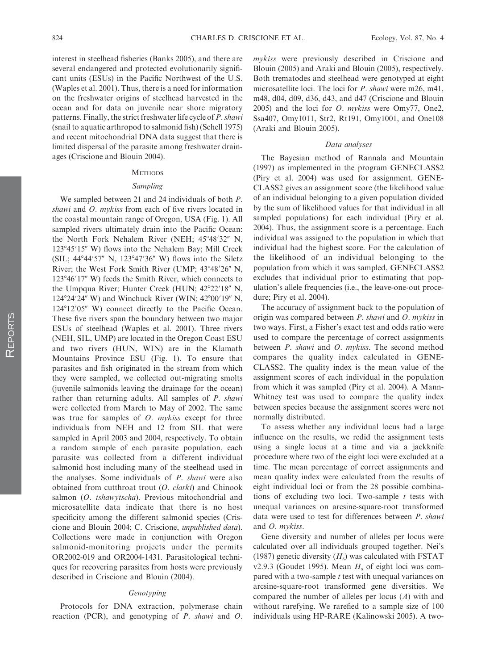interest in steelhead fisheries (Banks 2005), and there are several endangered and protected evolutionarily significant units (ESUs) in the Pacific Northwest of the U.S. (Waples et al. 2001). Thus, there is a need for information on the freshwater origins of steelhead harvested in the ocean and for data on juvenile near shore migratory patterns. Finally, the strict freshwater life cycle of P. shawi (snail to aquatic arthropod to salmonid fish) (Schell 1975) and recent mitochondrial DNA data suggest that there is limited dispersal of the parasite among freshwater drainages (Criscione and Blouin 2004).

#### **METHODS**

## Sampling

We sampled between 21 and 24 individuals of both P. shawi and O. mykiss from each of five rivers located in the coastal mountain range of Oregon, USA (Fig. 1). All sampled rivers ultimately drain into the Pacific Ocean: the North Fork Nehalem River (NEH; 45°48'32" N, 123°45'15" W) flows into the Nehalem Bay; Mill Creek (SIL;  $44^{\circ}44'57''$  N,  $123^{\circ}47'36''$  W) flows into the Siletz River; the West Fork Smith River (UMP;  $43^{\circ}48'26''$  N,  $123^{\circ}46'17''$  W) feeds the Smith River, which connects to the Umpqua River; Hunter Creek (HUN; 42°22'18" N,  $124^{\circ}24'24''$  W) and Winchuck River (WIN;  $42^{\circ}00'19''$  N,  $124^{\circ}12'05''$  W) connect directly to the Pacific Ocean. These five rivers span the boundary between two major ESUs of steelhead (Waples et al. 2001). Three rivers (NEH, SIL, UMP) are located in the Oregon Coast ESU and two rivers (HUN, WIN) are in the Klamath Mountains Province ESU (Fig. 1). To ensure that parasites and fish originated in the stream from which they were sampled, we collected out-migrating smolts (juvenile salmonids leaving the drainage for the ocean) rather than returning adults. All samples of P. shawi were collected from March to May of 2002. The same was true for samples of  $O$ . mykiss except for three individuals from NEH and 12 from SIL that were sampled in April 2003 and 2004, respectively. To obtain a random sample of each parasite population, each parasite was collected from a different individual salmonid host including many of the steelhead used in the analyses. Some individuals of P. shawi were also obtained from cutthroat trout (O. clarki) and Chinook salmon (O. tshawytscha). Previous mitochondrial and microsatellite data indicate that there is no host specificity among the different salmonid species (Criscione and Blouin 2004; C. Criscione, unpublished data). Collections were made in conjunction with Oregon salmonid-monitoring projects under the permits OR2002-019 and OR2004-1431. Parasitological techniques for recovering parasites from hosts were previously described in Criscione and Blouin (2004).

## Genotyping

Protocols for DNA extraction, polymerase chain reaction (PCR), and genotyping of P. shawi and O. mykiss were previously described in Criscione and Blouin (2005) and Araki and Blouin (2005), respectively. Both trematodes and steelhead were genotyped at eight microsatellite loci. The loci for P. shawi were m26, m41, m48, d04, d09, d36, d43, and d47 (Criscione and Blouin 2005) and the loci for O. mykiss were Omy77, One2, Ssa407, Omy1011, Str2, Rt191, Omy1001, and One108 (Araki and Blouin 2005).

## Data analyses

The Bayesian method of Rannala and Mountain (1997) as implemented in the program GENECLASS2 (Piry et al. 2004) was used for assignment. GENE-CLASS2 gives an assignment score (the likelihood value of an individual belonging to a given population divided by the sum of likelihood values for that individual in all sampled populations) for each individual (Piry et al. 2004). Thus, the assignment score is a percentage. Each individual was assigned to the population in which that individual had the highest score. For the calculation of the likelihood of an individual belonging to the population from which it was sampled, GENECLASS2 excludes that individual prior to estimating that population's allele frequencies (i.e., the leave-one-out procedure; Piry et al. 2004).

The accuracy of assignment back to the population of origin was compared between P. shawi and O. mykiss in two ways. First, a Fisher's exact test and odds ratio were used to compare the percentage of correct assignments between P. shawi and O. mykiss. The second method compares the quality index calculated in GENE-CLASS2. The quality index is the mean value of the assignment scores of each individual in the population from which it was sampled (Piry et al. 2004). A Mann-Whitney test was used to compare the quality index between species because the assignment scores were not normally distributed.

To assess whether any individual locus had a large influence on the results, we redid the assignment tests using a single locus at a time and via a jackknife procedure where two of the eight loci were excluded at a time. The mean percentage of correct assignments and mean quality index were calculated from the results of eight individual loci or from the 28 possible combinations of excluding two loci. Two-sample  $t$  tests with unequal variances on arcsine-square-root transformed data were used to test for differences between P. shawi and O. mykiss.

Gene diversity and number of alleles per locus were calculated over all individuals grouped together. Nei's (1987) genetic diversity  $(H_s)$  was calculated with FSTAT v2.9.3 (Goudet 1995). Mean  $H_s$  of eight loci was compared with a two-sample  $t$  test with unequal variances on arcsine-square-root transformed gene diversities. We compared the number of alleles per locus (A) with and without rarefying. We rarefied to a sample size of 100 individuals using HP-RARE (Kalinowski 2005). A two-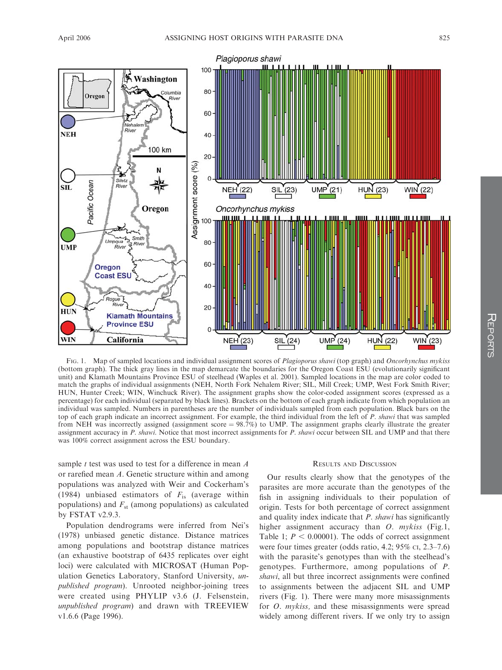

FIG. 1. Map of sampled locations and individual assignment scores of Plagioporus shawi (top graph) and Oncorhynchus mykiss (bottom graph). The thick gray lines in the map demarcate the boundaries for the Oregon Coast ESU (evolutionarily significant unit) and Klamath Mountains Province ESU of steelhead (Waples et al. 2001). Sampled locations in the map are color coded to match the graphs of individual assignments (NEH, North Fork Nehalem River; SIL, Mill Creek; UMP, West Fork Smith River; HUN, Hunter Creek; WIN, Winchuck River). The assignment graphs show the color-coded assignment scores (expressed as a percentage) for each individual (separated by black lines). Brackets on the bottom of each graph indicate from which population an individual was sampled. Numbers in parentheses are the number of individuals sampled from each population. Black bars on the top of each graph indicate an incorrect assignment. For example, the third individual from the left of P. shawi that was sampled from NEH was incorrectly assigned (assignment score  $= 98.7\%$ ) to UMP. The assignment graphs clearly illustrate the greater assignment accuracy in P. shawi. Notice that most incorrect assignments for P. shawi occur between SIL and UMP and that there was 100% correct assignment across the ESU boundary.

sample  $t$  test was used to test for a difference in mean  $A$ or rarefied mean A. Genetic structure within and among populations was analyzed with Weir and Cockerham's (1984) unbiased estimators of  $F_{\text{is}}$  (average within populations) and  $F_{st}$  (among populations) as calculated by FSTAT v2.9.3.

Population dendrograms were inferred from Nei's (1978) unbiased genetic distance. Distance matrices among populations and bootstrap distance matrices (an exhaustive bootstrap of 6435 replicates over eight loci) were calculated with MICROSAT (Human Population Genetics Laboratory, Stanford University, unpublished program). Unrooted neighbor-joining trees were created using PHYLIP v3.6 (J. Felsenstein, unpublished program) and drawn with TREEVIEW v1.6.6 (Page 1996).

#### RESULTS AND DISCUSSION

Our results clearly show that the genotypes of the parasites are more accurate than the genotypes of the fish in assigning individuals to their population of origin. Tests for both percentage of correct assignment and quality index indicate that P. shawi has significantly higher assignment accuracy than  $O$ . mykiss (Fig.1, Table 1;  $P < 0.00001$ ). The odds of correct assignment were four times greater (odds ratio, 4.2; 95% CI, 2.3–7.6) with the parasite's genotypes than with the steelhead's genotypes. Furthermore, among populations of P. shawi, all but three incorrect assignments were confined to assignments between the adjacent SIL and UMP rivers (Fig. 1). There were many more misassignments for *O. mykiss*, and these misassignments were spread widely among different rivers. If we only try to assign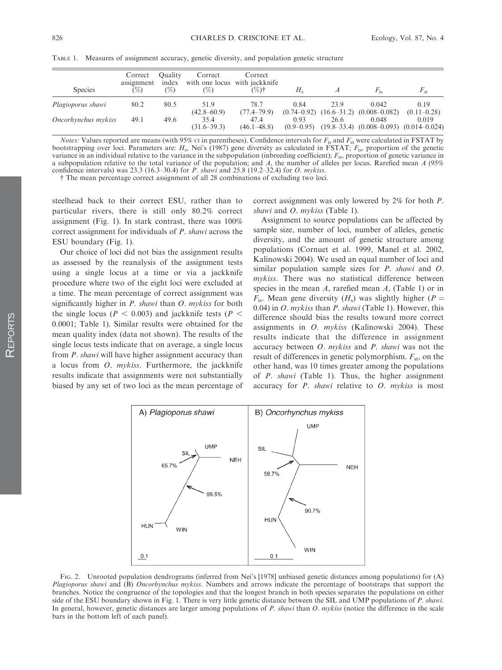TABLE 1. Measures of assignment accuracy, genetic diversity, and population genetic structure

| <b>Species</b>      | Correct<br>assignment<br>(%) | Ouality<br>index<br>(%) | Correct<br>with one locus with jackknife<br>(%) | Correct<br>(%)†         | Н.   |      | $F_{i_{\infty}}$                                                    | $F_{\rm st}$            |
|---------------------|------------------------------|-------------------------|-------------------------------------------------|-------------------------|------|------|---------------------------------------------------------------------|-------------------------|
| Plagioporus shawi   | 80.2                         | 80.5                    | 51.9<br>$(42.8 - 60.9)$                         | 78.7<br>$(77.4 - 79.9)$ | 0.84 | 23.9 | 0.042<br>$(0.74-0.92)$ $(16.6-31.2)$ $(0.008-0.082)$                | 0.19<br>$(0.11 - 0.28)$ |
| Oncorhynchus mykiss | 49.1                         | 49.6                    | 35.4<br>$(31.6 - 39.3)$                         | 47.4<br>$(46.1 - 48.8)$ | 0.93 | 26.6 | 0.048<br>$(0.9-0.95)$ $(19.8-33.4)$ $(0.008-0.093)$ $(0.014-0.024)$ | 0.019                   |

*Notes:* Values reported are means (with 95%  $C1$  in parentheses). Confidence intervals for  $F_{is}$  and  $F_{st}$  were calculated in FSTAT by bootstrapping over loci. Parameters are:  $H_s$ , Nei's (1987) gene diversity as calculated in FSTAT;  $F_{is}$ , proportion of the genetic variance in an individual relative to the variance in the subpopulation (inbreeding coefficient);  $F_{\rm st}$ , proportion of genetic variance in a subpopulation relative to the total variance of the population; and A, the number of alleles per locus. Rarefied mean  $A$  (95%) confidence intervals) was  $23.3$  (16.3–30.4) for  $P.$  shawi and  $25.8$  (19.2–32.4) for  $O.$  mykiss.

The mean percentage correct assignment of all 28 combinations of excluding two loci.

steelhead back to their correct ESU, rather than to particular rivers, there is still only 80.2% correct assignment (Fig. 1). In stark contrast, there was 100% correct assignment for individuals of P. shawi across the ESU boundary (Fig. 1).

Our choice of loci did not bias the assignment results as assessed by the reanalysis of the assignment tests using a single locus at a time or via a jackknife procedure where two of the eight loci were excluded at a time. The mean percentage of correct assignment was significantly higher in *P. shawi* than *O. mykiss* for both the single locus ( $P < 0.003$ ) and jackknife tests ( $P <$ 0.0001; Table 1). Similar results were obtained for the mean quality index (data not shown). The results of the single locus tests indicate that on average, a single locus from P. shawi will have higher assignment accuracy than a locus from O. mykiss. Furthermore, the jackknife results indicate that assignments were not substantially biased by any set of two loci as the mean percentage of correct assignment was only lowered by 2% for both P. shawi and O. mykiss (Table 1).

Assignment to source populations can be affected by sample size, number of loci, number of alleles, genetic diversity, and the amount of genetic structure among populations (Cornuet et al. 1999, Manel et al. 2002, Kalinowski 2004). We used an equal number of loci and similar population sample sizes for P. shawi and O. mykiss. There was no statistical difference between species in the mean  $A$ , rarefied mean  $A$ , (Table 1) or in  $F_{\text{is}}$ . Mean gene diversity  $(H_{\text{s}})$  was slightly higher (P = 0.04) in O. mykiss than P. shawi (Table 1). However, this difference should bias the results toward more correct assignments in O. mykiss (Kalinowski 2004). These results indicate that the difference in assignment accuracy between O. mykiss and P. shawi was not the result of differences in genetic polymorphism.  $F_{\text{st}}$ , on the other hand, was 10 times greater among the populations of P. shawi (Table 1). Thus, the higher assignment accuracy for  $P$ . shawi relative to  $O$ . mykiss is most



FIG. 2. Unrooted population dendrograms (inferred from Nei's [1978] unbiased genetic distances among populations) for (A) Plagioporus shawi and (B) Oncorhynchus mykiss. Numbers and arrows indicate the percentage of bootstraps that support the branches. Notice the congruence of the topologies and that the longest branch in both species separates the populations on either side of the ESU boundary shown in Fig. 1. There is very little genetic distance between the SIL and UMP populations of P. shawi. In general, however, genetic distances are larger among populations of P. shawi than O. mykiss (notice the difference in the scale bars in the bottom left of each panel).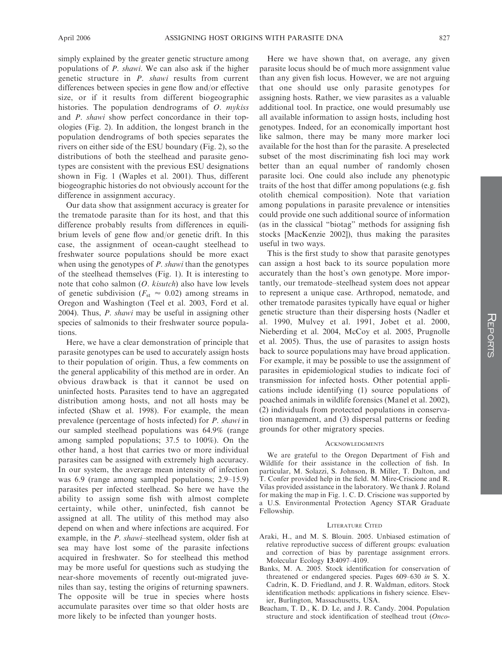simply explained by the greater genetic structure among populations of P. shawi. We can also ask if the higher genetic structure in P. shawi results from current differences between species in gene flow and/or effective size, or if it results from different biogeographic histories. The population dendrograms of O. mykiss and P. shawi show perfect concordance in their topologies (Fig. 2). In addition, the longest branch in the population dendrograms of both species separates the rivers on either side of the ESU boundary (Fig. 2), so the distributions of both the steelhead and parasite genotypes are consistent with the previous ESU designations shown in Fig. 1 (Waples et al. 2001). Thus, different biogeographic histories do not obviously account for the difference in assignment accuracy.

Our data show that assignment accuracy is greater for the trematode parasite than for its host, and that this difference probably results from differences in equilibrium levels of gene flow and/or genetic drift. In this case, the assignment of ocean-caught steelhead to freshwater source populations should be more exact when using the genotypes of *P. shawi* than the genotypes of the steelhead themselves (Fig. 1). It is interesting to note that coho salmon (O. kisutch) also have low levels of genetic subdivision ( $F_{st} \approx 0.02$ ) among streams in Oregon and Washington (Teel et al. 2003, Ford et al. 2004). Thus, P. shawi may be useful in assigning other species of salmonids to their freshwater source populations.

Here, we have a clear demonstration of principle that parasite genotypes can be used to accurately assign hosts to their population of origin. Thus, a few comments on the general applicability of this method are in order. An obvious drawback is that it cannot be used on uninfected hosts. Parasites tend to have an aggregated distribution among hosts, and not all hosts may be infected (Shaw et al. 1998). For example, the mean prevalence (percentage of hosts infected) for P. shawi in our sampled steelhead populations was 64.9% (range among sampled populations; 37.5 to 100%). On the other hand, a host that carries two or more individual parasites can be assigned with extremely high accuracy. In our system, the average mean intensity of infection was 6.9 (range among sampled populations; 2.9–15.9) parasites per infected steelhead. So here we have the ability to assign some fish with almost complete certainty, while other, uninfected, fish cannot be assigned at all. The utility of this method may also depend on when and where infections are acquired. For example, in the P. shawi–steelhead system, older fish at sea may have lost some of the parasite infections acquired in freshwater. So for steelhead this method may be more useful for questions such as studying the near-shore movements of recently out-migrated juveniles than say, testing the origins of returning spawners. The opposite will be true in species where hosts accumulate parasites over time so that older hosts are more likely to be infected than younger hosts.

Here we have shown that, on average, any given parasite locus should be of much more assignment value than any given fish locus. However, we are not arguing that one should use only parasite genotypes for assigning hosts. Rather, we view parasites as a valuable additional tool. In practice, one would presumably use all available information to assign hosts, including host genotypes. Indeed, for an economically important host like salmon, there may be many more marker loci available for the host than for the parasite. A preselected subset of the most discriminating fish loci may work better than an equal number of randomly chosen parasite loci. One could also include any phenotypic traits of the host that differ among populations (e.g. fish otolith chemical composition). Note that variation among populations in parasite prevalence or intensities could provide one such additional source of information (as in the classical ''biotag'' methods for assigning fish stocks [MacKenzie 2002]), thus making the parasites useful in two ways.

This is the first study to show that parasite genotypes can assign a host back to its source population more accurately than the host's own genotype. More importantly, our trematode–steelhead system does not appear to represent a unique case. Arthropod, nematode, and other trematode parasites typically have equal or higher genetic structure than their dispersing hosts (Nadler et al. 1990, Mulvey et al. 1991, Jobet et al. 2000, Nieberding et al. 2004, McCoy et al. 2005, Prugnolle et al. 2005). Thus, the use of parasites to assign hosts back to source populations may have broad application. For example, it may be possible to use the assignment of parasites in epidemiological studies to indicate foci of transmission for infected hosts. Other potential applications include identifying (1) source populations of poached animals in wildlife forensics (Manel et al. 2002), (2) individuals from protected populations in conservation management, and (3) dispersal patterns or feeding grounds for other migratory species.

#### **ACKNOWLEDGMENTS**

We are grateful to the Oregon Department of Fish and Wildlife for their assistance in the collection of fish. In particular, M. Solazzi, S. Johnson, B. Miller, T. Dalton, and T. Confer provided help in the field. M. Mire-Criscione and R. Vilas provided assistance in the laboratory. We thank J. Roland for making the map in Fig. 1. C. D. Criscione was supported by a U.S. Environmental Protection Agency STAR Graduate Fellowship.

#### LITERATURE CITED

- Araki, H., and M. S. Blouin. 2005. Unbiased estimation of relative reproductive success of different groups: evaluation and correction of bias by parentage assignment errors. Molecular Ecology 13:4097–4109.
- Banks, M. A. 2005. Stock identification for conservation of threatened or endangered species. Pages 609–630 in S. X. Cadrin, K. D. Friedland, and J. R. Waldman, editors. Stock identification methods: applications in fishery science. Elsevier, Burlington, Massachusetts, USA.
- Beacham, T. D., K. D. Le, and J. R. Candy. 2004. Population structure and stock identification of steelhead trout (Onco-